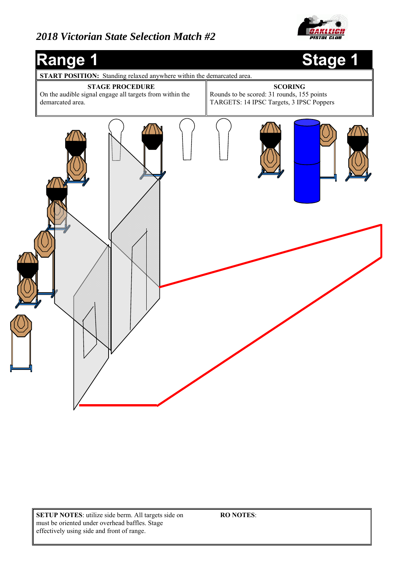

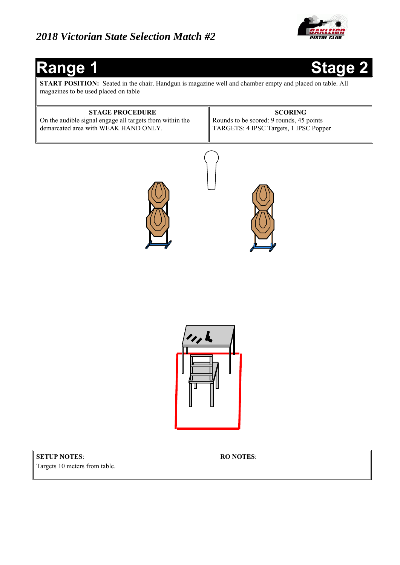

**START POSITION:** Seated in the chair. Handgun is magazine well and chamber empty and placed on table. All magazines to be used placed on table

#### **STAGE PROCEDURE**  On the audible signal engage all targets from within the demarcated area with WEAK HAND ONLY. **SCORING**  Rounds to be scored: 9 rounds, 45 points TARGETS: 4 IPSC Targets, 1 IPSC Popper





#### **SETUP NOTES**: Targets 10 meters from table.

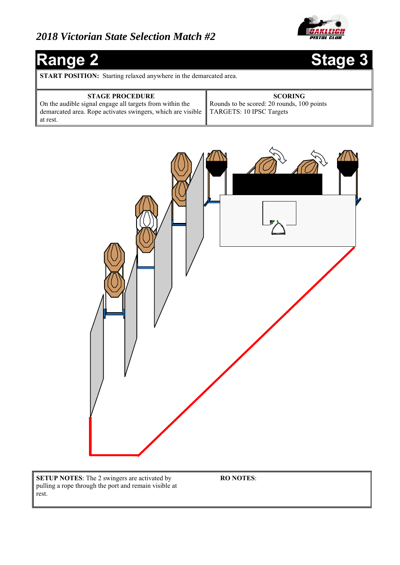

# Range 2 Stage 3

**START POSITION:** Starting relaxed anywhere in the demarcated area.

| <b>STAGE PROCEDURE</b>                                                                 | <b>SCORING</b>                             |
|----------------------------------------------------------------------------------------|--------------------------------------------|
| On the audible signal engage all targets from within the                               | Rounds to be scored: 20 rounds, 100 points |
| demarcated area. Rope activates swingers, which are visible   TARGETS: 10 IPSC Targets |                                            |
| at rest.                                                                               |                                            |



**SETUP NOTES**: The 2 swingers are activated by pulling a rope through the port and remain visible at rest.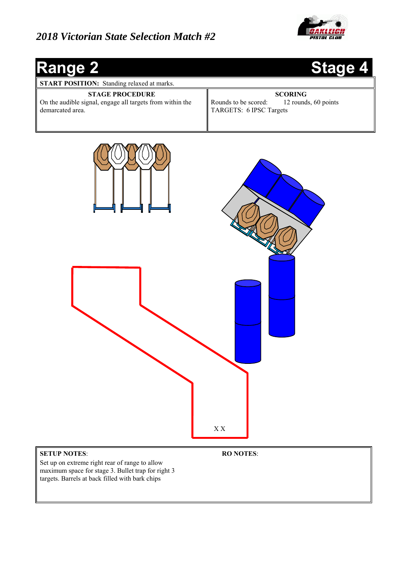

# **Range 2 Stage 4 START POSITION:** Standing relaxed at marks. **STAGE PROCEDURE**  On the audible signal, engage all targets from within the demarcated area. **SCORING**  Rounds to be scored: 12 rounds, 60 points TARGETS: 6 IPSC Targets

#### **SETUP NOTES**:

Set up on extreme right rear of range to allow maximum space for stage 3. Bullet trap for right 3 targets. Barrels at back filled with bark chips

**RO NOTES**:

X X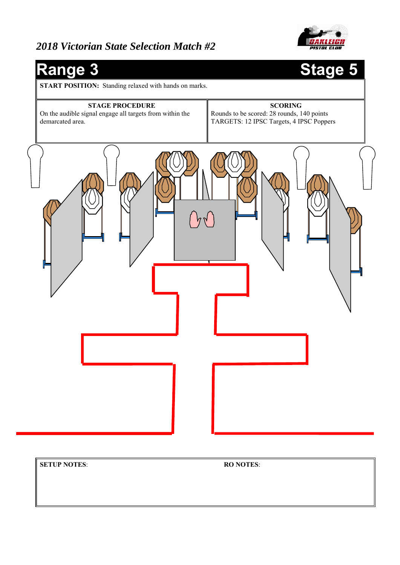



**SETUP NOTES**: **RO NOTES**: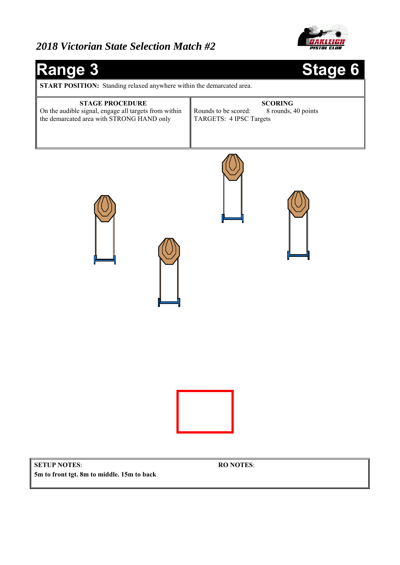

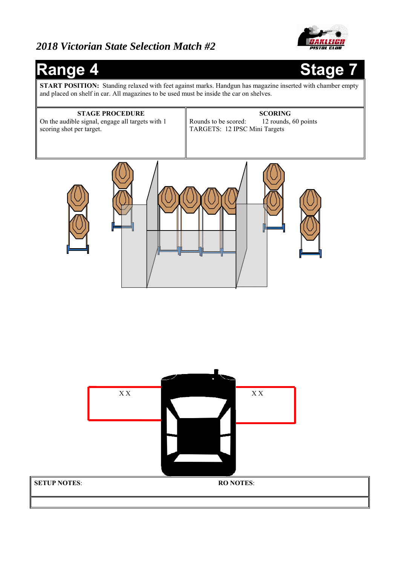

## **Range 4**



**START POSITION:** Standing relaxed with feet against marks. Handgun has magazine inserted with chamber empty and placed on shelf in car. All magazines to be used must be inside the car on shelves.

# **STAGE PROCEDURE**  On the audible signal, engage all targets with 1 scoring shot per target. **SCORING**  Rounds to be scored: 12 rounds, 60 points TARGETS: 12 IPSC Mini Targets

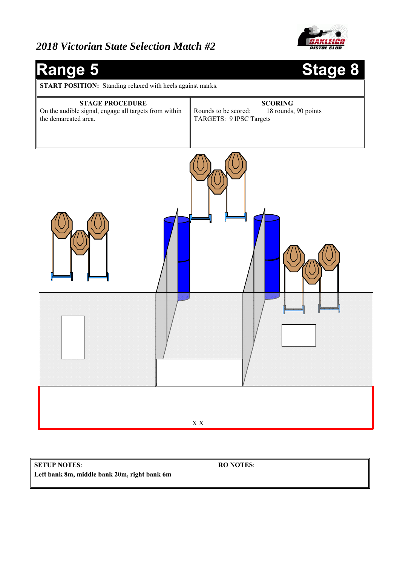



**SETUP NOTES**: **Left bank 8m, middle bank 20m, right bank 6m**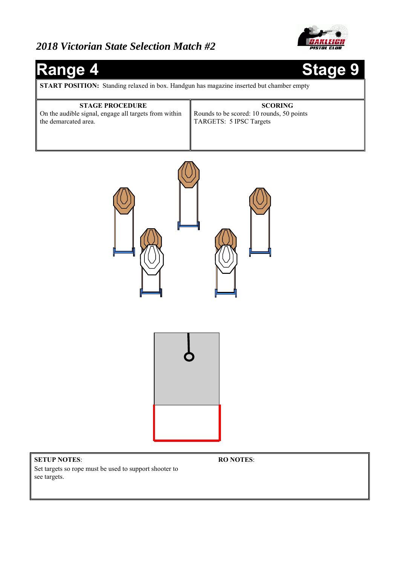



**SETUP NOTES**: Set targets so rope must be used to support shooter to see targets.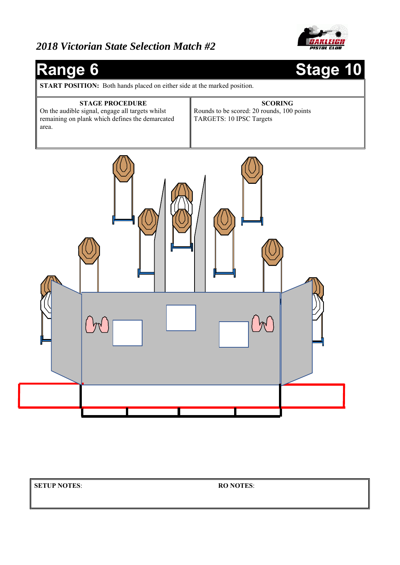



**SETUP NOTES**: **RO NOTES**: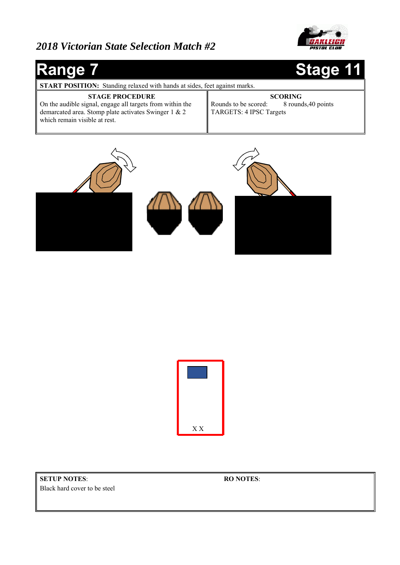

#### **Range 7 Stage 11 START POSITION:** Standing relaxed with hands at sides, feet against marks. **STAGE PROCEDURE**  On the audible signal, engage all targets from within the demarcated area. Stomp plate activates Swinger 1 & 2 which remain visible at rest. **SCORING**  Rounds to be scored: 8 rounds, 40 points TARGETS: 4 IPSC Targets





**SETUP NOTES**: Black hard cover to be steel